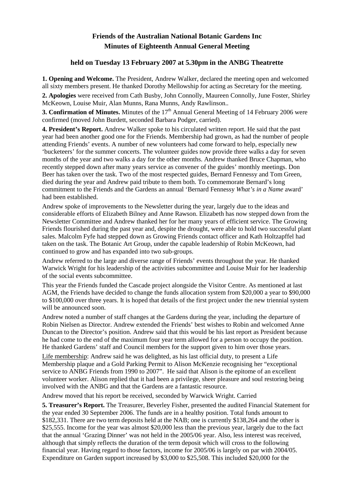## **Friends of the Australian National Botanic Gardens Inc Minutes of Eighteenth Annual General Meeting**

## **held on Tuesday 13 February 2007 at 5.30pm in the ANBG Theatrette**

**1. Opening and Welcome.** The President, Andrew Walker, declared the meeting open and welcomed all sixty members present. He thanked Dorothy Mellowship for acting as Secretary for the meeting.

**2. Apologies** were received from Cath Busby, John Connolly, Maureen Connolly, June Foster, Shirley McKeown, Louise Muir, Alan Munns, Rana Munns, Andy Rawlinson..

**3. Confirmation of Minutes.** Minutes of the 17<sup>th</sup> Annual General Meeting of 14 February 2006 were confirmed (moved John Burdett, seconded Barbara Podger, carried).

**4. President's Report.** Andrew Walker spoke to his circulated written report. He said that the past year had been another good one for the Friends. Membership had grown, as had the number of people attending Friends' events. A number of new volunteers had come forward to help, especially new 'bucketeers' for the summer concerts. The volunteer guides now provide three walks a day for seven months of the year and two walks a day for the other months. Andrew thanked Bruce Chapman, who recently stepped down after many years service as convener of the guides' monthly meetings. Don Beer has taken over the task. Two of the most respected guides, Bernard Fennessy and Tom Green, died during the year and Andrew paid tribute to them both. To commemorate Bernard's long commitment to the Friends and the Gardens an annual 'Bernard Fennessy *What's in a Name* award' had been established.

Andrew spoke of improvements to the Newsletter during the year, largely due to the ideas and considerable efforts of Elizabeth Bilney and Anne Rawson. Elizabeth has now stepped down from the Newsletter Committee and Andrew thanked her for her many years of efficient service. The Growing Friends flourished during the past year and, despite the drought, were able to hold two successful plant sales. Malcolm Fyfe had stepped down as Growing Friends contact officer and Kath Holtzapffel had taken on the task. The Botanic Art Group, under the capable leadership of Robin McKeown, had continued to grow and has expanded into two sub-groups.

Andrew referred to the large and diverse range of Friends' events throughout the year. He thanked Warwick Wright for his leadership of the activities subcommittee and Louise Muir for her leadership of the social events subcommittee.

This year the Friends funded the Cascade project alongside the Visitor Centre. As mentioned at last AGM, the Friends have decided to change the funds allocation system from \$20,000 a year to \$90,000 to \$100,000 over three years. It is hoped that details of the first project under the new triennial system will be announced soon.

Andrew noted a number of staff changes at the Gardens during the year, including the departure of Robin Nielsen as Director. Andrew extended the Friends' best wishes to Robin and welcomed Anne Duncan to the Director's position. Andrew said that this would be his last report as President because he had come to the end of the maximum four year term allowed for a person to occupy the position. He thanked Gardens' staff and Council members for the support given to him over those years.

Life membership: Andrew said he was delighted, as his last official duty, to present a Life Membership plaque and a Gold Parking Permit to Alison McKenzie recognising her "exceptional service to ANBG Friends from 1990 to 2007". He said that Alison is the epitome of an excellent volunteer worker. Alison replied that it had been a privilege, sheer pleasure and soul restoring being involved with the ANBG and that the Gardens are a fantastic resource.

Andrew moved that his report be received, seconded by Warwick Wright. Carried

**5. Treasurer's Report.** The Treasurer, Beverley Fisher, presented the audited Financial Statement for the year ended 30 September 2006. The funds are in a healthy position. Total funds amount to \$182,331. There are two term deposits held at the NAB; one is currently \$138,264 and the other is \$25,555. Income for the year was almost \$20,000 less than the previous year, largely due to the fact that the annual 'Grazing Dinner' was not held in the 2005/06 year. Also, less interest was received, although that simply reflects the duration of the term deposit which will cross to the following financial year. Having regard to those factors, income for 2005/06 is largely on par with 2004/05. Expenditure on Garden support increased by \$3,000 to \$25,508. This included \$20,000 for the